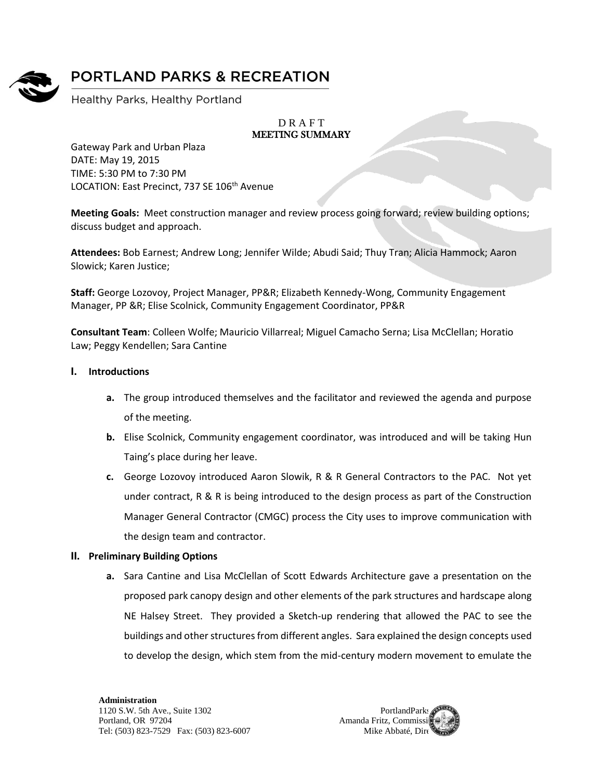

# **PORTLAND PARKS & RECREATION**

Healthy Parks, Healthy Portland

### **DRAFT** MEETING SUMMARY

Gateway Park and Urban Plaza DATE: May 19, 2015 TIME: 5:30 PM to 7:30 PM LOCATION: East Precinct, 737 SE 106<sup>th</sup> Avenue

**Meeting Goals:** Meet construction manager and review process going forward; review building options; discuss budget and approach.

**Attendees:** Bob Earnest; Andrew Long; Jennifer Wilde; Abudi Said; Thuy Tran; Alicia Hammock; Aaron Slowick; Karen Justice;

**Staff:** George Lozovoy, Project Manager, PP&R; Elizabeth Kennedy-Wong, Community Engagement Manager, PP &R; Elise Scolnick, Community Engagement Coordinator, PP&R

**Consultant Team**: Colleen Wolfe; Mauricio Villarreal; Miguel Camacho Serna; Lisa McClellan; Horatio Law; Peggy Kendellen; Sara Cantine

## **I. Introductions**

- **a.** The group introduced themselves and the facilitator and reviewed the agenda and purpose of the meeting.
- **b.** Elise Scolnick, Community engagement coordinator, was introduced and will be taking Hun Taing's place during her leave.
- **c.** George Lozovoy introduced Aaron Slowik, R & R General Contractors to the PAC. Not yet under contract, R & R is being introduced to the design process as part of the Construction Manager General Contractor (CMGC) process the City uses to improve communication with the design team and contractor.

## **II. Preliminary Building Options**

**a.** Sara Cantine and Lisa McClellan of Scott Edwards Architecture gave a presentation on the proposed park canopy design and other elements of the park structures and hardscape along NE Halsey Street. They provided a Sketch-up rendering that allowed the PAC to see the buildings and other structures from different angles. Sara explained the design concepts used to develop the design, which stem from the mid-century modern movement to emulate the

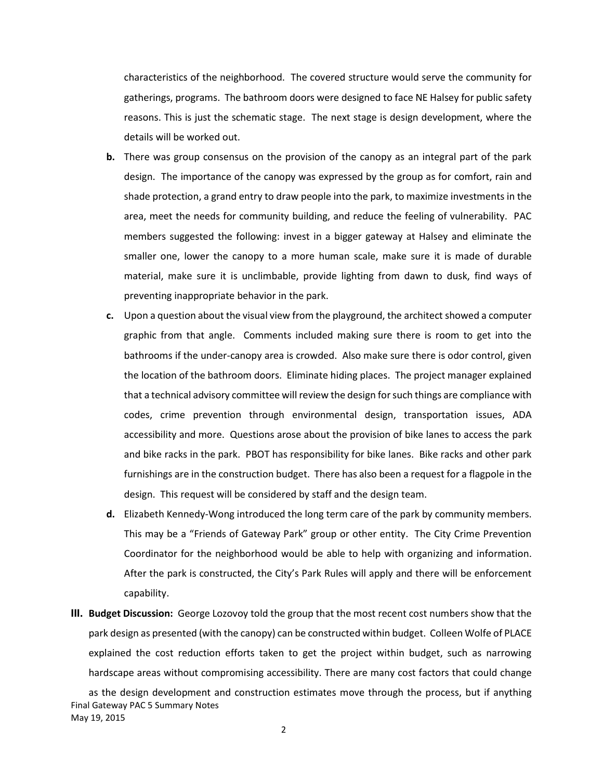characteristics of the neighborhood. The covered structure would serve the community for gatherings, programs. The bathroom doors were designed to face NE Halsey for public safety reasons. This is just the schematic stage. The next stage is design development, where the details will be worked out.

- **b.** There was group consensus on the provision of the canopy as an integral part of the park design. The importance of the canopy was expressed by the group as for comfort, rain and shade protection, a grand entry to draw people into the park, to maximize investments in the area, meet the needs for community building, and reduce the feeling of vulnerability. PAC members suggested the following: invest in a bigger gateway at Halsey and eliminate the smaller one, lower the canopy to a more human scale, make sure it is made of durable material, make sure it is unclimbable, provide lighting from dawn to dusk, find ways of preventing inappropriate behavior in the park.
- **c.** Upon a question about the visual view from the playground, the architect showed a computer graphic from that angle. Comments included making sure there is room to get into the bathrooms if the under-canopy area is crowded. Also make sure there is odor control, given the location of the bathroom doors. Eliminate hiding places. The project manager explained that a technical advisory committee will review the design for such things are compliance with codes, crime prevention through environmental design, transportation issues, ADA accessibility and more. Questions arose about the provision of bike lanes to access the park and bike racks in the park. PBOT has responsibility for bike lanes. Bike racks and other park furnishings are in the construction budget. There has also been a request for a flagpole in the design. This request will be considered by staff and the design team.
- **d.** Elizabeth Kennedy-Wong introduced the long term care of the park by community members. This may be a "Friends of Gateway Park" group or other entity. The City Crime Prevention Coordinator for the neighborhood would be able to help with organizing and information. After the park is constructed, the City's Park Rules will apply and there will be enforcement capability.
- **III. Budget Discussion:** George Lozovoy told the group that the most recent cost numbers show that the park design as presented (with the canopy) can be constructed within budget. Colleen Wolfe of PLACE explained the cost reduction efforts taken to get the project within budget, such as narrowing hardscape areas without compromising accessibility. There are many cost factors that could change

Final Gateway PAC 5 Summary Notes May 19, 2015 as the design development and construction estimates move through the process, but if anything

2